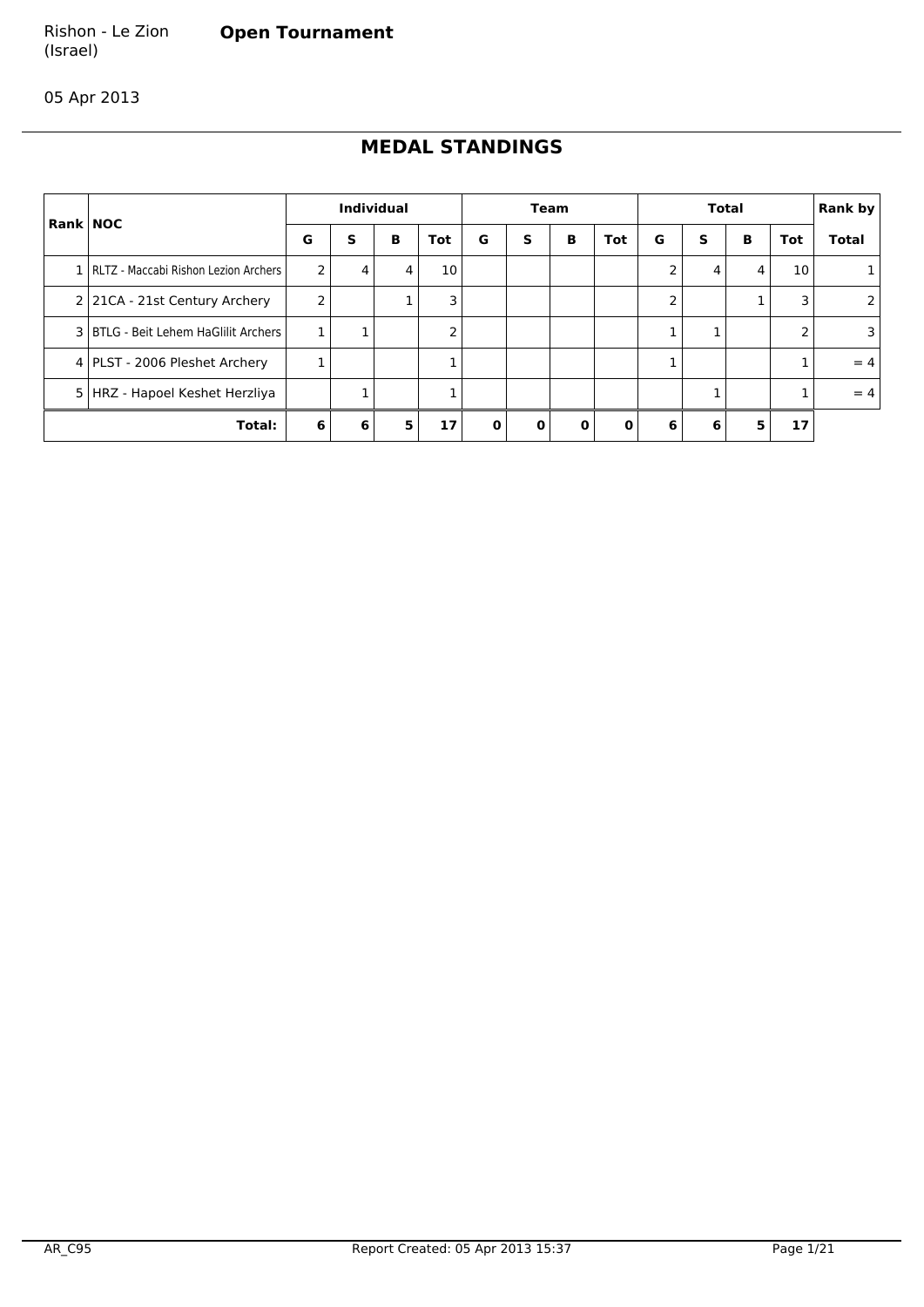#### Rishon - Le Zion **Open Tournament**

(Israel)

05 Apr 2013

# **MEDAL STANDINGS**

| <b>Rank NOC</b> |                                          |   |   | <b>Individual</b> |     |   |              | Team     |          | <b>Total</b>   |   |   |            | <b>Rank by</b> |
|-----------------|------------------------------------------|---|---|-------------------|-----|---|--------------|----------|----------|----------------|---|---|------------|----------------|
|                 |                                          | G | s | в                 | Tot | G | s            | в        | Tot      | G              | s | В | <b>Tot</b> | <b>Total</b>   |
|                 | 1   RLTZ - Maccabi Rishon Lezion Archers | 2 | 4 | 4                 | 10  |   |              |          |          | $\overline{2}$ | 4 | 4 | 10         |                |
|                 | 2 21CA - 21st Century Archery            | 2 |   |                   | 3   |   |              |          |          | 2              |   |   | 3          |                |
|                 | 3   BTLG - Beit Lehem HaGlilit Archers   |   |   |                   | 2   |   |              |          |          |                |   |   |            |                |
|                 | 4   PLST - 2006 Pleshet Archery          |   |   |                   |     |   |              |          |          |                |   |   |            | $= 4$          |
| 51              | HRZ - Hapoel Keshet Herzliya             |   |   |                   |     |   |              |          |          |                |   |   |            | $= 4$          |
|                 | Total:                                   | 6 | 6 | 5                 | 17  | 0 | $\mathbf{0}$ | $\Omega$ | $\Omega$ | 6              | 6 | 5 | 17         |                |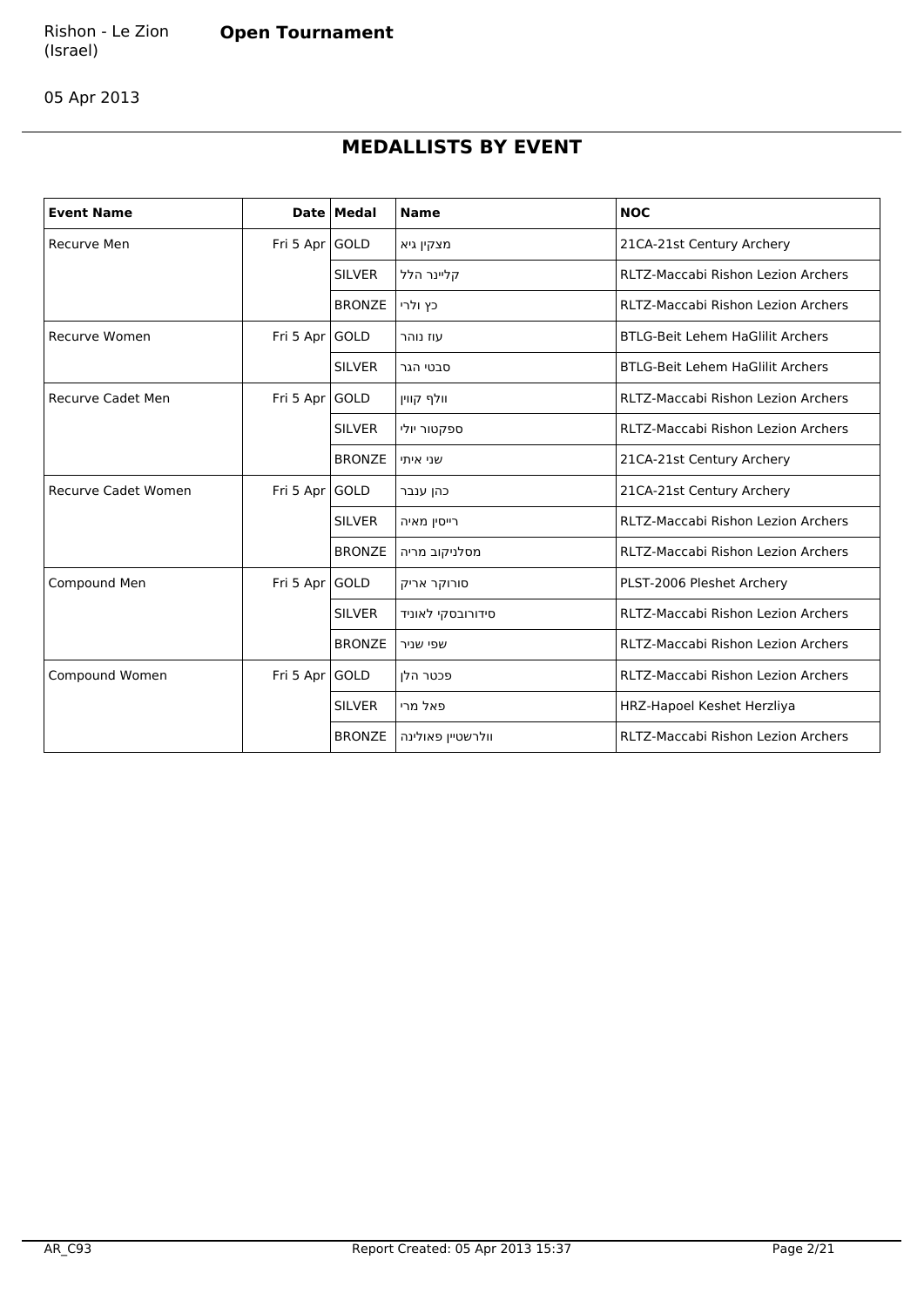05 Apr 2013

# **MEDALLISTS BY EVENT**

| <b>Event Name</b>          |                | Date   Medal  | <b>Name</b>       | <b>NOC</b>                                |
|----------------------------|----------------|---------------|-------------------|-------------------------------------------|
| Recurve Men                | Fri 5 Apr GOLD |               | מצקין גיא         | 21CA-21st Century Archery                 |
|                            |                | <b>SILVER</b> | קליינר הלל        | <b>RLTZ-Maccabi Rishon Lezion Archers</b> |
|                            |                | <b>BRONZE</b> | כץ ולרי           | <b>RLTZ-Maccabi Rishon Lezion Archers</b> |
| <b>Recurve Women</b>       | Fri 5 Apr GOLD |               | עוז נוהר          | <b>BTLG-Beit Lehem HaGlilit Archers</b>   |
|                            |                | <b>SILVER</b> | סבטי הגר          | <b>BTLG-Beit Lehem HaGlilit Archers</b>   |
| <b>Recurve Cadet Men</b>   | Fri 5 Apr GOLD |               | וולף קווין        | <b>RLTZ-Maccabi Rishon Lezion Archers</b> |
|                            |                | <b>SILVER</b> | ספקטור יולי       | <b>RLTZ-Maccabi Rishon Lezion Archers</b> |
|                            |                | <b>BRONZE</b> | שני איתי          | 21CA-21st Century Archery                 |
| <b>Recurve Cadet Women</b> | Fri 5 Apr GOLD |               | כהן ענבר          | 21CA-21st Century Archery                 |
|                            |                | <b>SILVER</b> | רייסין מאיה       | RLTZ-Maccabi Rishon Lezion Archers        |
|                            |                | <b>BRONZE</b> | מסלניקוב מריה     | <b>RLTZ-Maccabi Rishon Lezion Archers</b> |
| Compound Men               | Fri 5 Apr GOLD |               | סורוקר אריק       | PLST-2006 Pleshet Archery                 |
|                            |                | <b>SILVER</b> | סידורובסקי לאוניד | <b>RLTZ-Maccabi Rishon Lezion Archers</b> |
|                            |                | <b>BRONZE</b> | שפי שניר          | <b>RLTZ-Maccabi Rishon Lezion Archers</b> |
| Compound Women             | Fri 5 Apr GOLD |               | פכטר הלו          | <b>RLTZ-Maccabi Rishon Lezion Archers</b> |
|                            |                | <b>SILVER</b> | פאל מרי           | HRZ-Hapoel Keshet Herzliya                |
|                            |                | <b>BRONZE</b> | וולרשטיין פאולינה | <b>RLTZ-Maccabi Rishon Lezion Archers</b> |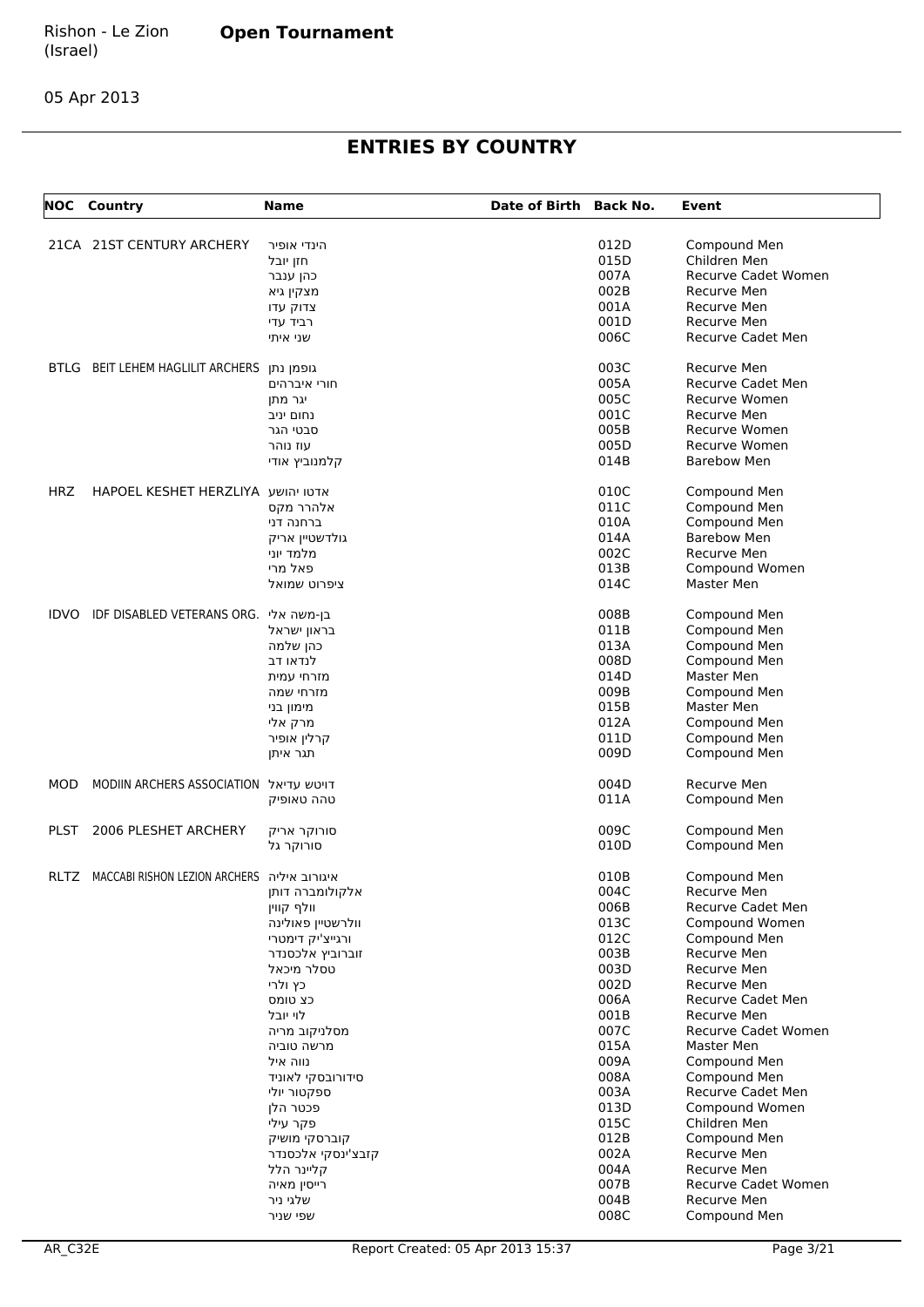05 Apr 2013

# **ENTRIES BY COUNTRY**

| NOC         | Country                                          | <b>Name</b>        | Date of Birth Back No. |      | Event                      |
|-------------|--------------------------------------------------|--------------------|------------------------|------|----------------------------|
|             | 21CA 21ST CENTURY ARCHERY                        | הינדי אופיר        |                        | 012D | Compound Men               |
|             |                                                  | חזן יובל           |                        | 015D | Children Men               |
|             |                                                  | כהן ענבר           |                        | 007A | Recurve Cadet Women        |
|             |                                                  |                    |                        | 002B | Recurve Men                |
|             |                                                  | מצקין גיא          |                        | 001A | Recurve Men                |
|             |                                                  | צדוק עדו           |                        | 001D | Recurve Men                |
|             |                                                  | רביד עדי           |                        | 006C |                            |
|             |                                                  | שני איתי           |                        |      | Recurve Cadet Men          |
| <b>BTLG</b> | BEIT LEHEM HAGLILIT ARCHERS                      | גופמן נתן          |                        | 003C | Recurve Men                |
|             |                                                  | חורי איברהים       |                        | 005A | Recurve Cadet Men          |
|             |                                                  | יגר מתן            |                        | 005C | Recurve Women              |
|             |                                                  | נחום יניב          |                        | 001C | Recurve Men                |
|             |                                                  | סבטי הגר           |                        | 005B | Recurve Women              |
|             |                                                  | עוז נוהר           |                        | 005D | Recurve Women              |
|             |                                                  | קלמנוביץ אודי      |                        | 014B | <b>Barebow Men</b>         |
| HRZ         | HAPOEL KESHET HERZLIYA אדטו יהושע                |                    |                        | 010C | Compound Men               |
|             |                                                  | אלהרר מקס          |                        | 011C | Compound Men               |
|             |                                                  | ברחנה דני          |                        | 010A | Compound Men               |
|             |                                                  | גולדשטיין אריק     |                        | 014A | <b>Barebow Men</b>         |
|             |                                                  | מלמד יוני          |                        | 002C | Recurve Men                |
|             |                                                  | פאל מרי            |                        | 013B | Compound Women             |
|             |                                                  | ציפרוט שמואל       |                        | 014C | Master Men                 |
| <b>IDVO</b> | IDF DISABLED VETERANS ORG. בן-משה אלי            |                    |                        | 008B | Compound Men               |
|             |                                                  | בראון ישראל        |                        | 011B | Compound Men               |
|             |                                                  | כהן שלמה           |                        | 013A | Compound Men               |
|             |                                                  | לנדאו דב           |                        | 008D | Compound Men               |
|             |                                                  |                    |                        | 014D | Master Men                 |
|             |                                                  | מזרחי עמית         |                        |      |                            |
|             |                                                  | מזרחי שמה          |                        | 009B | Compound Men               |
|             |                                                  | מימון בני          |                        | 015B | Master Men                 |
|             |                                                  | מרק אלי            |                        | 012A | Compound Men               |
|             |                                                  | קרלין אופיר        |                        | 011D | Compound Men               |
|             |                                                  | תגר איתן           |                        | 009D | Compound Men               |
| MOD         | MODIIN ARCHERS ASSOCIATION דויטש עדיאל           |                    |                        | 004D | Recurve Men                |
|             |                                                  | טהה טאופיק         |                        | 011A | Compound Men               |
| PLST        | 2006 PLESHET ARCHERY                             | סורוקר אריק        |                        | 009C | Compound Men               |
|             |                                                  | סורוקר גל          |                        | 010D | Compound Men               |
|             | RLTZ MACCABI RISHON LEZION ARCHERS איגורוב איליה |                    |                        | 010B | Compound Men               |
|             |                                                  | אלקולומברה דותן    |                        | 004C | Recurve Men                |
|             |                                                  | וולף קווין         |                        | 006B | <b>Recurve Cadet Men</b>   |
|             |                                                  | וולרשטיין פאולינה  |                        | 013C | Compound Women             |
|             |                                                  | ורגייצ'יק דימטרי   |                        | 012C | Compound Men               |
|             |                                                  | זוברוביץ אלכסנדר   |                        | 003B | Recurve Men                |
|             |                                                  | טסלר מיכאל         |                        | 003D | Recurve Men                |
|             |                                                  | כץ ולרי            |                        | 002D | Recurve Men                |
|             |                                                  | כצ טומס            |                        | 006A | Recurve Cadet Men          |
|             |                                                  | לוי יובל           |                        | 001B | Recurve Men                |
|             |                                                  | מסלניקוב מריה      |                        | 007C | <b>Recurve Cadet Women</b> |
|             |                                                  | מרשה טוביה         |                        | 015A | Master Men                 |
|             |                                                  | נווה איל           |                        | 009A | Compound Men               |
|             |                                                  | סידורובסקי לאוניד  |                        | 008A | Compound Men               |
|             |                                                  | ספקטור יולי        |                        | 003A | <b>Recurve Cadet Men</b>   |
|             |                                                  | פכטר הלן           |                        | 013D | Compound Women             |
|             |                                                  | פקר עילי           |                        | 015C | Children Men               |
|             |                                                  | קוברסקי מושיק      |                        | 012B | Compound Men               |
|             |                                                  | קזבצ'ינסקי אלכסנדר |                        | 002A | Recurve Men                |
|             |                                                  | קליינר הלל         |                        | 004A | Recurve Men                |
|             |                                                  |                    |                        | 007B |                            |
|             |                                                  | רייסין מאיה        |                        |      | Recurve Cadet Women        |
|             |                                                  | שלגי ניר           |                        | 004B | Recurve Men                |
|             |                                                  | שפי שניר           |                        | 008C | Compound Men               |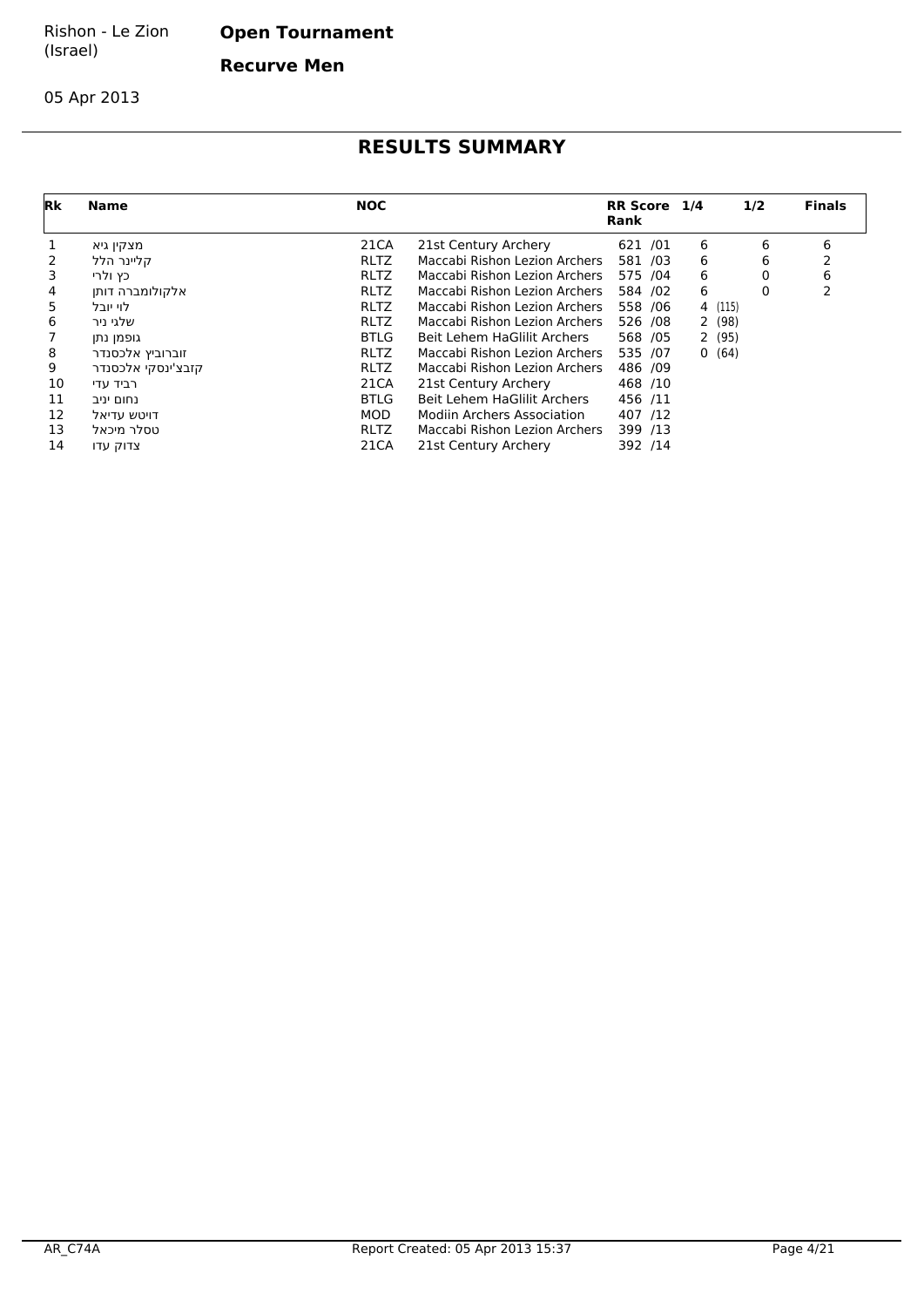**Open Tournament**

**Recurve Men**

05 Apr 2013

| <b>Rk</b> | Name               | <b>NOC</b>  |                               | RR Score 1/4<br>Rank |   | 1/2     | <b>Finals</b> |
|-----------|--------------------|-------------|-------------------------------|----------------------|---|---------|---------------|
|           | מצקין גיא          | 21CA        | 21st Century Archery          | 621 /01              | 6 | 6       | 6             |
|           | קליינר הלל         | <b>RLTZ</b> | Maccabi Rishon Lezion Archers | 581 /03              | 6 | 6       |               |
| 3         | כץ ולרי            | <b>RLTZ</b> | Maccabi Rishon Lezion Archers | 575 /04              | 6 | 0       | 6             |
| 4         | אלקולומברה דותן    | <b>RLTZ</b> | Maccabi Rishon Lezion Archers | 584 /02              | 6 | 0       |               |
| 5.        | לוי יובל           | <b>RLTZ</b> | Maccabi Rishon Lezion Archers | 558 /06              |   | 4 (115) |               |
| 6         | שלגי ניר           | <b>RLTZ</b> | Maccabi Rishon Lezion Archers | 526 /08              |   | 2(98)   |               |
|           | גופמן נתן          | <b>BTLG</b> | Beit Lehem HaGlilit Archers   | 568 /05              |   | 2(95)   |               |
| 8         | זוברוביץ אלכסנדר   | <b>RLTZ</b> | Maccabi Rishon Lezion Archers | 535 /07              |   | 0(64)   |               |
| 9         | קזבצ'ינסקי אלכסנדר | <b>RLTZ</b> | Maccabi Rishon Lezion Archers | 486 /09              |   |         |               |
| 10        | רביד עדי           | 21CA        | 21st Century Archery          | 468 /10              |   |         |               |
| 11        | נחום יניב          | <b>BTLG</b> | Beit Lehem HaGlilit Archers   | 456 /11              |   |         |               |
| 12        | דויטש עדיאל        | <b>MOD</b>  | Modiin Archers Association    | 407 /12              |   |         |               |
| 13        | טסלר מיכאל         | <b>RLTZ</b> | Maccabi Rishon Lezion Archers | 399 /13              |   |         |               |
| 14        | צדוק עדו           | 21CA        | 21st Century Archery          | 392 /14              |   |         |               |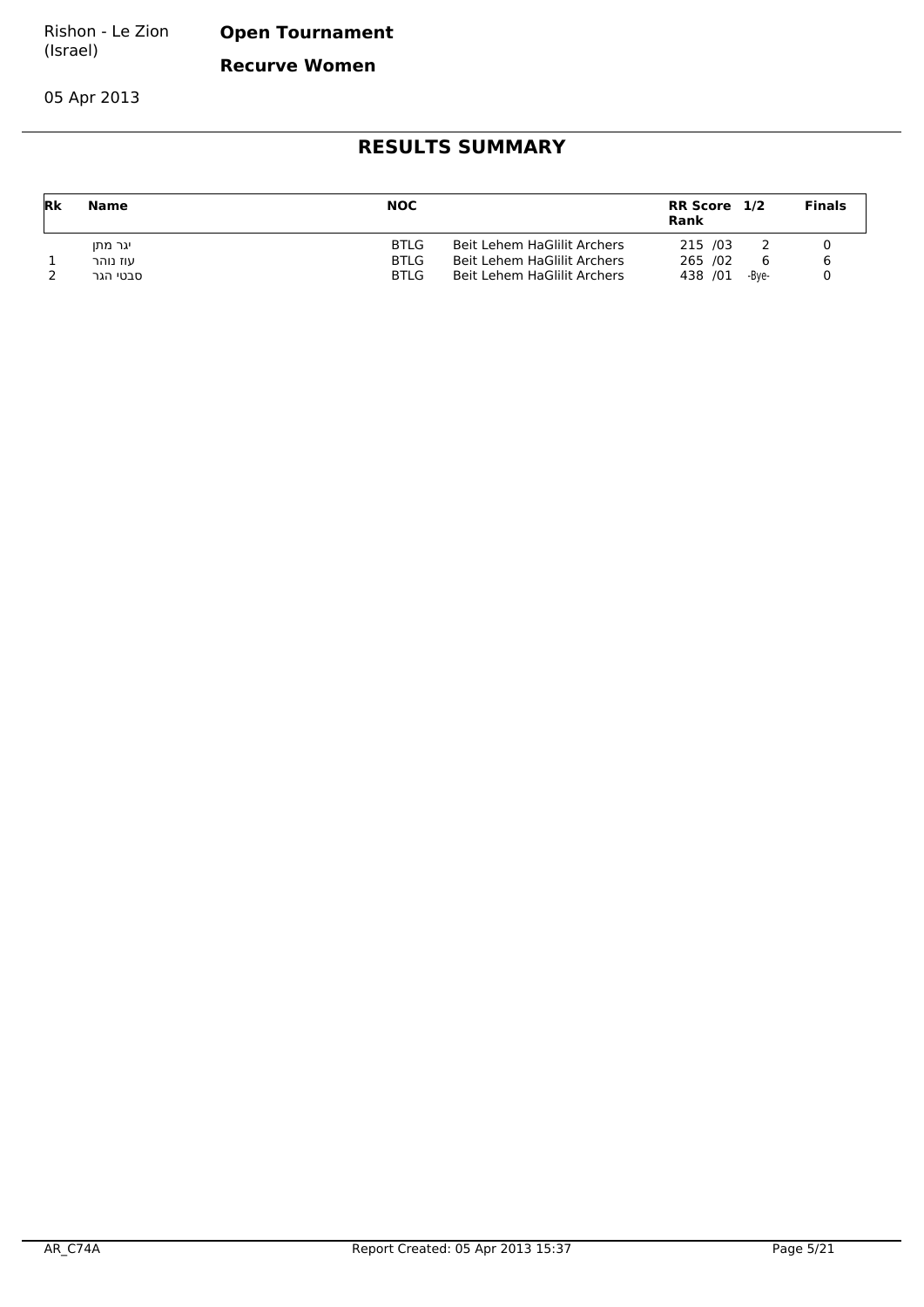**Open Tournament**

**Recurve Women**

05 Apr 2013

| <b>Rk</b> | Name     | <b>NOC</b>  |                             | RR Score 1/2<br>Rank |       | <b>Finals</b> |
|-----------|----------|-------------|-----------------------------|----------------------|-------|---------------|
|           | יגר מתו  | <b>BTLG</b> | Beit Lehem HaGlilit Archers | 215 /03              |       |               |
|           | עוז נוהר | BTLG        | Beit Lehem HaGlilit Archers | 265 /02              | 6     |               |
|           | סבטי הגר | <b>BTLG</b> | Beit Lehem HaGlilit Archers | 438 /01              | -Bve- |               |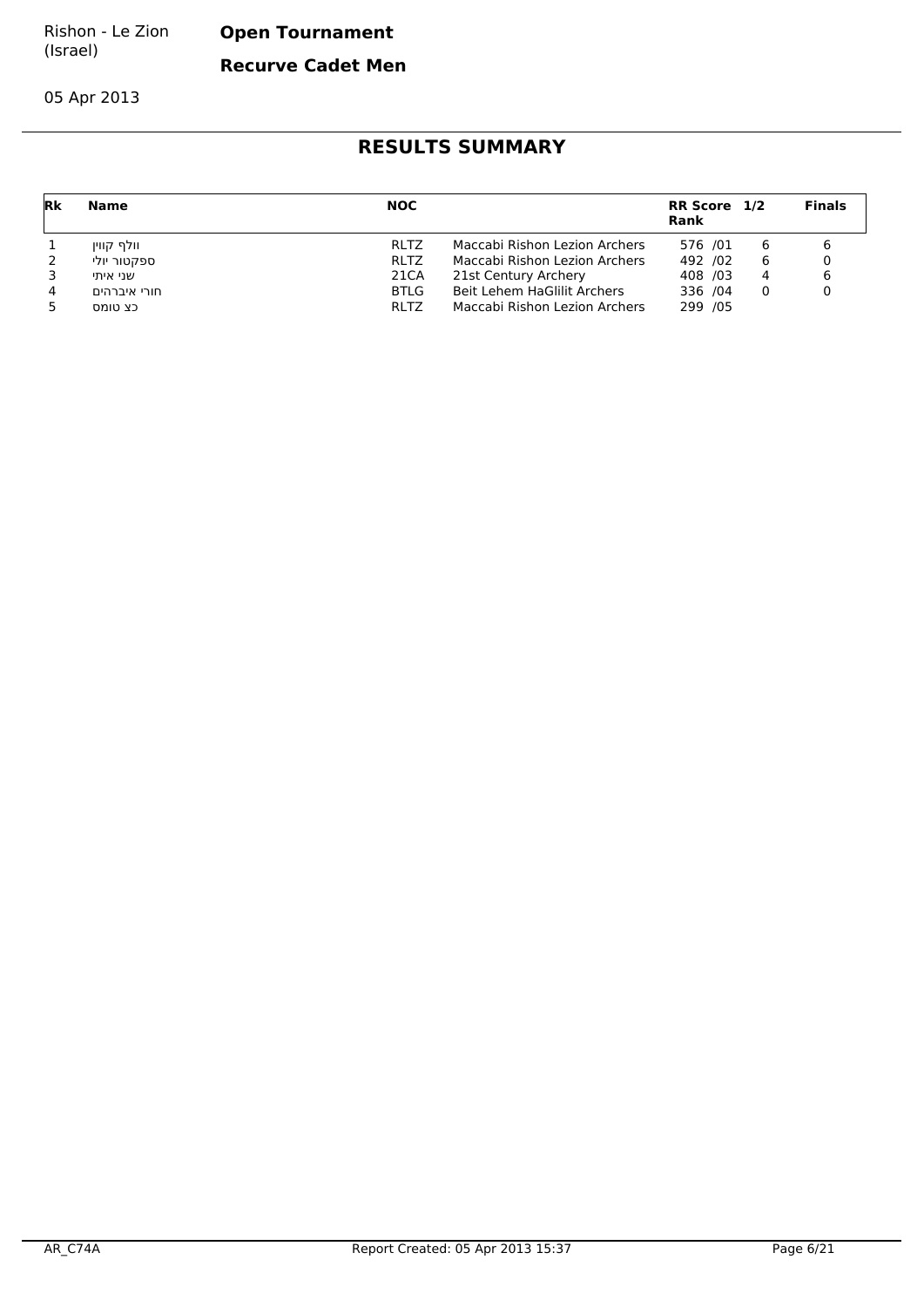**Open Tournament**

**Recurve Cadet Men**

05 Apr 2013

| Rk | Name         | <b>NOC</b>  |                               | RR Score 1/2<br><b>Rank</b> |   | <b>Finals</b> |
|----|--------------|-------------|-------------------------------|-----------------------------|---|---------------|
|    | וולף קווין   | <b>RLTZ</b> | Maccabi Rishon Lezion Archers | 576 /01                     | 6 |               |
|    | ספקטור יולי  | <b>RLTZ</b> | Maccabi Rishon Lezion Archers | 492 /02                     | 6 |               |
|    | שני איתי     | 21CA        | 21st Century Archery          | 408 /03                     | 4 |               |
| 4  | חורי איברהים | BTLG        | Beit Lehem HaGlilit Archers   | 336 /04                     | 0 |               |
|    | כצ טומס      | <b>RLTZ</b> | Maccabi Rishon Lezion Archers | 299 /05                     |   |               |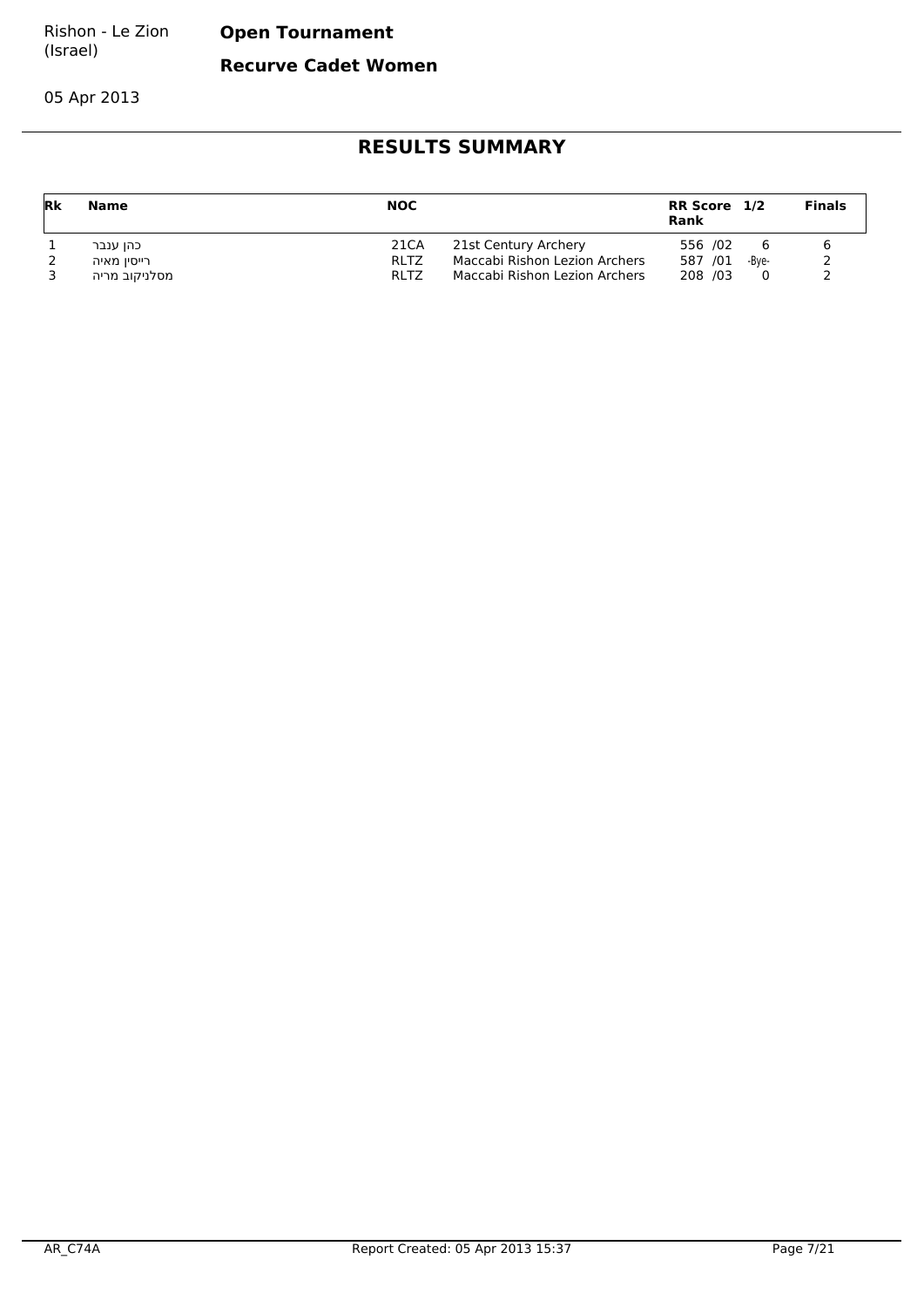**Open Tournament**

**Recurve Cadet Women**

05 Apr 2013

| Rk | Name          | <b>NOC</b>  |                               | RR Score 1/2<br>Rank |       | <b>Finals</b> |
|----|---------------|-------------|-------------------------------|----------------------|-------|---------------|
|    | כהן ענבר      | 21CA        | 21st Century Archery          | 556 /02              | 6     |               |
|    | רייסין מאיה   | <b>RLTZ</b> | Maccabi Rishon Lezion Archers | 587 /01              | -Bve- |               |
|    | מסלניקוב מריה | <b>RLTZ</b> | Maccabi Rishon Lezion Archers | 208 /03              |       |               |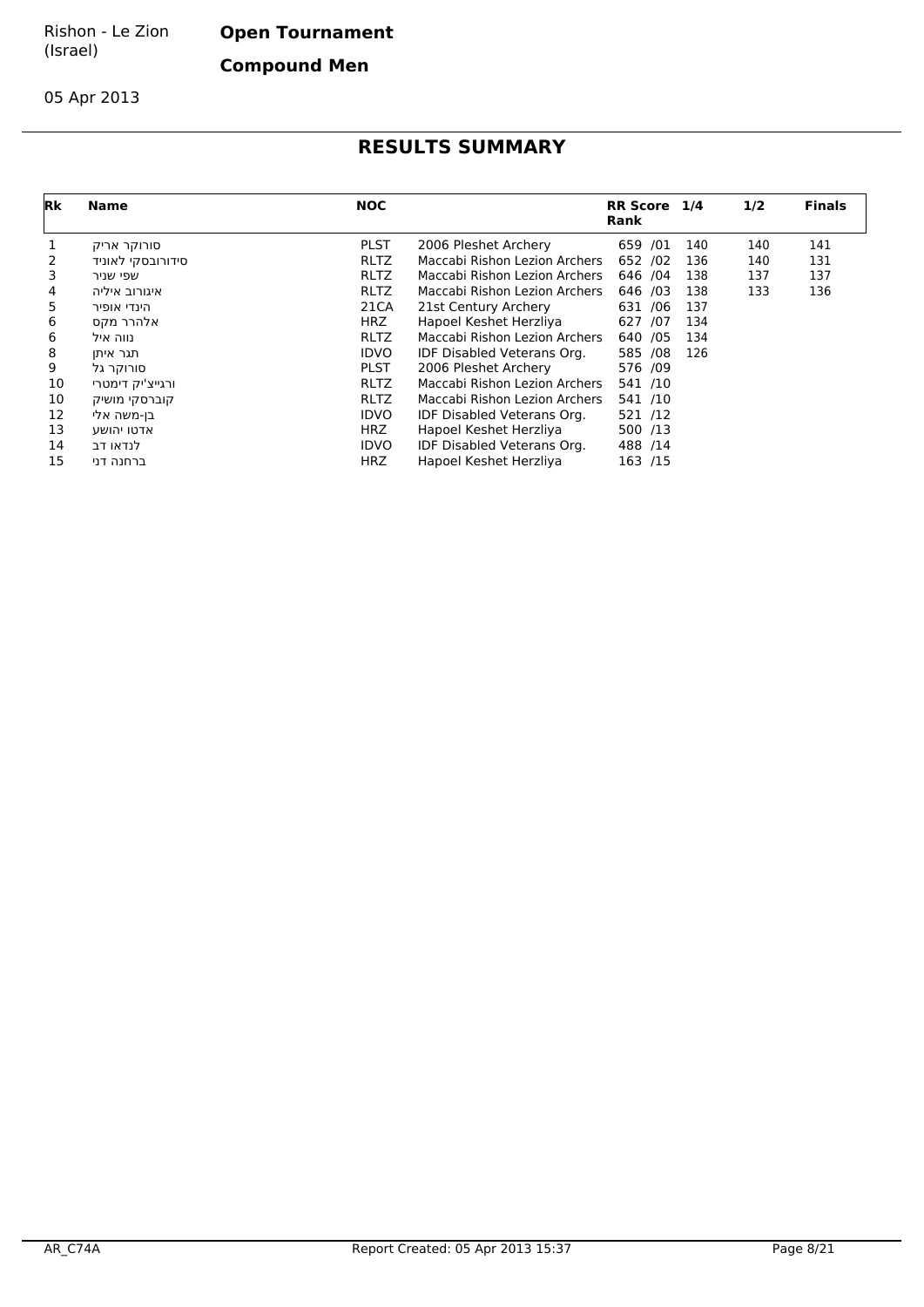**Open Tournament**

**Compound Men**

05 Apr 2013

| Rk | <b>Name</b>       | <b>NOC</b>  |                               | RR Score 1/4<br><b>Rank</b> |     | 1/2 | <b>Finals</b> |
|----|-------------------|-------------|-------------------------------|-----------------------------|-----|-----|---------------|
|    | סורוקר אריק       | <b>PLST</b> | 2006 Pleshet Archery          | 659<br>/01                  | 140 | 140 | 141           |
|    | סידורובסקי לאוניד | <b>RLTZ</b> | Maccabi Rishon Lezion Archers | 652 /02                     | 136 | 140 | 131           |
| 3  | שפי שניר          | <b>RLTZ</b> | Maccabi Rishon Lezion Archers | 646 / 04                    | 138 | 137 | 137           |
| 4  | איגורוב איליה     | <b>RLTZ</b> | Maccabi Rishon Lezion Archers | 646 /03                     | 138 | 133 | 136           |
| 5. | הינדי אופיר       | 21CA        | 21st Century Archery          | 631 /06                     | 137 |     |               |
| 6  | אלהרר מקס         | HRZ.        | Hapoel Keshet Herzliya        | 627 /07                     | 134 |     |               |
| 6  | נווה איל          | <b>RLTZ</b> | Maccabi Rishon Lezion Archers | 640 / 05                    | 134 |     |               |
| 8  | תגר איתן          | <b>IDVO</b> | IDF Disabled Veterans Org.    | 585 /08                     | 126 |     |               |
| 9  | סורוקר גל         | <b>PLST</b> | 2006 Pleshet Archery          | 576 /09                     |     |     |               |
| 10 | ורגייצ'יק דימטרי  | <b>RLTZ</b> | Maccabi Rishon Lezion Archers | 541 /10                     |     |     |               |
| 10 | קוברסקי מושיק     | <b>RLTZ</b> | Maccabi Rishon Lezion Archers | 541 /10                     |     |     |               |
| 12 | בן-משה אלי        | <b>IDVO</b> | IDF Disabled Veterans Org.    | 521 /12                     |     |     |               |
| 13 | אדטו יהושע        | <b>HRZ</b>  | Hapoel Keshet Herzliya        | 500 /13                     |     |     |               |
| 14 | לנדאו דב          | <b>IDVO</b> | IDF Disabled Veterans Org.    | 488 /14                     |     |     |               |
| 15 | ברחנה דני         | <b>HRZ</b>  | Hapoel Keshet Herzliya        | 163 /15                     |     |     |               |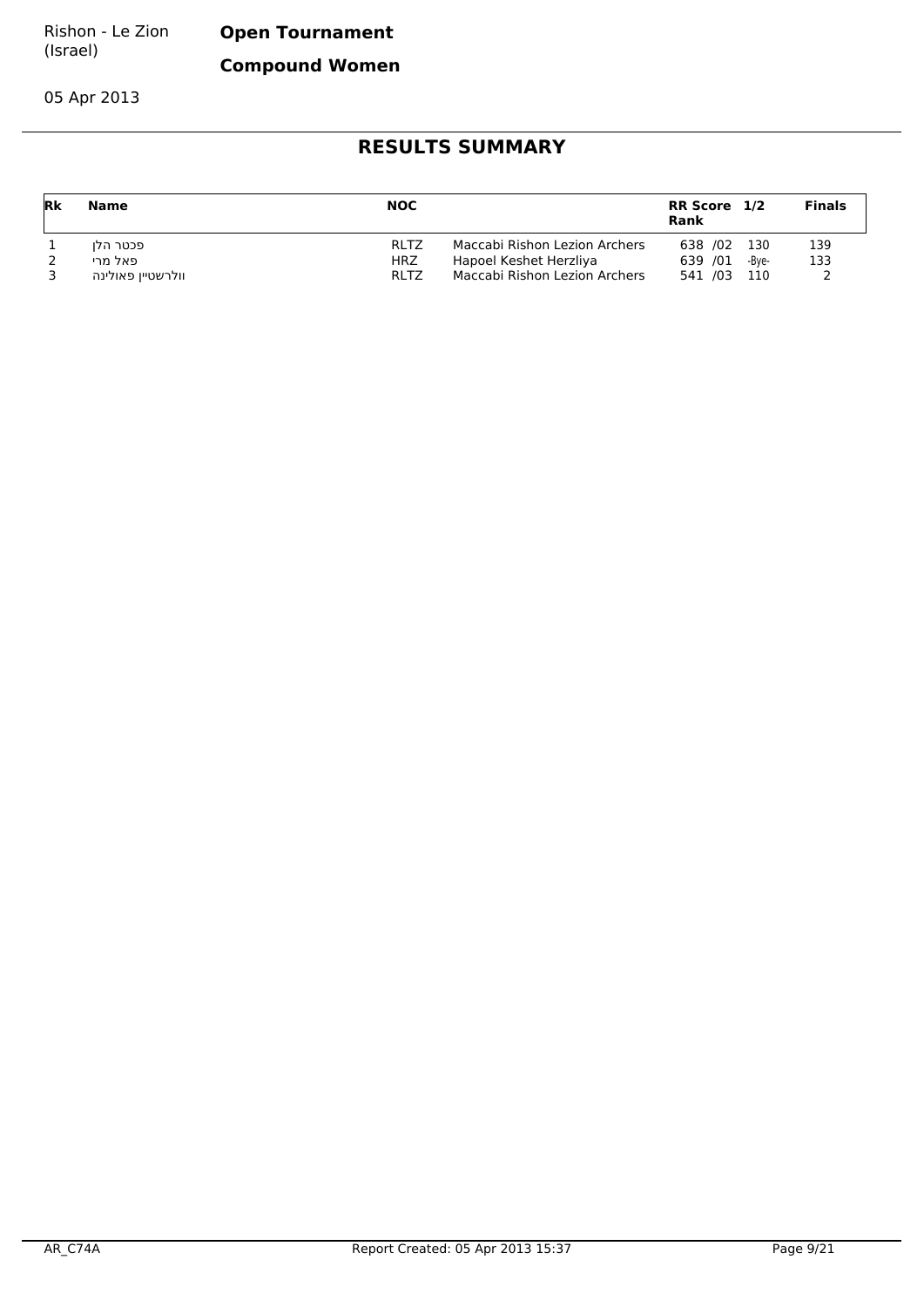**Open Tournament**

**Compound Women**

05 Apr 2013

| Rk | Name              | <b>NOC</b>  |                               | RR Score 1/2<br>Rank |       | <b>Finals</b> |
|----|-------------------|-------------|-------------------------------|----------------------|-------|---------------|
|    | פכטר הלו          | <b>RLTZ</b> | Maccabi Rishon Lezion Archers | 638 /02 130          |       | 139           |
|    | פאל מרי           | HRZ         | Hapoel Keshet Herzliya        | 639 /01              | -Bve- | 133           |
|    | וולרשטיין פאולינה | RI TZ       | Maccabi Rishon Lezion Archers | 541 /03 110          |       |               |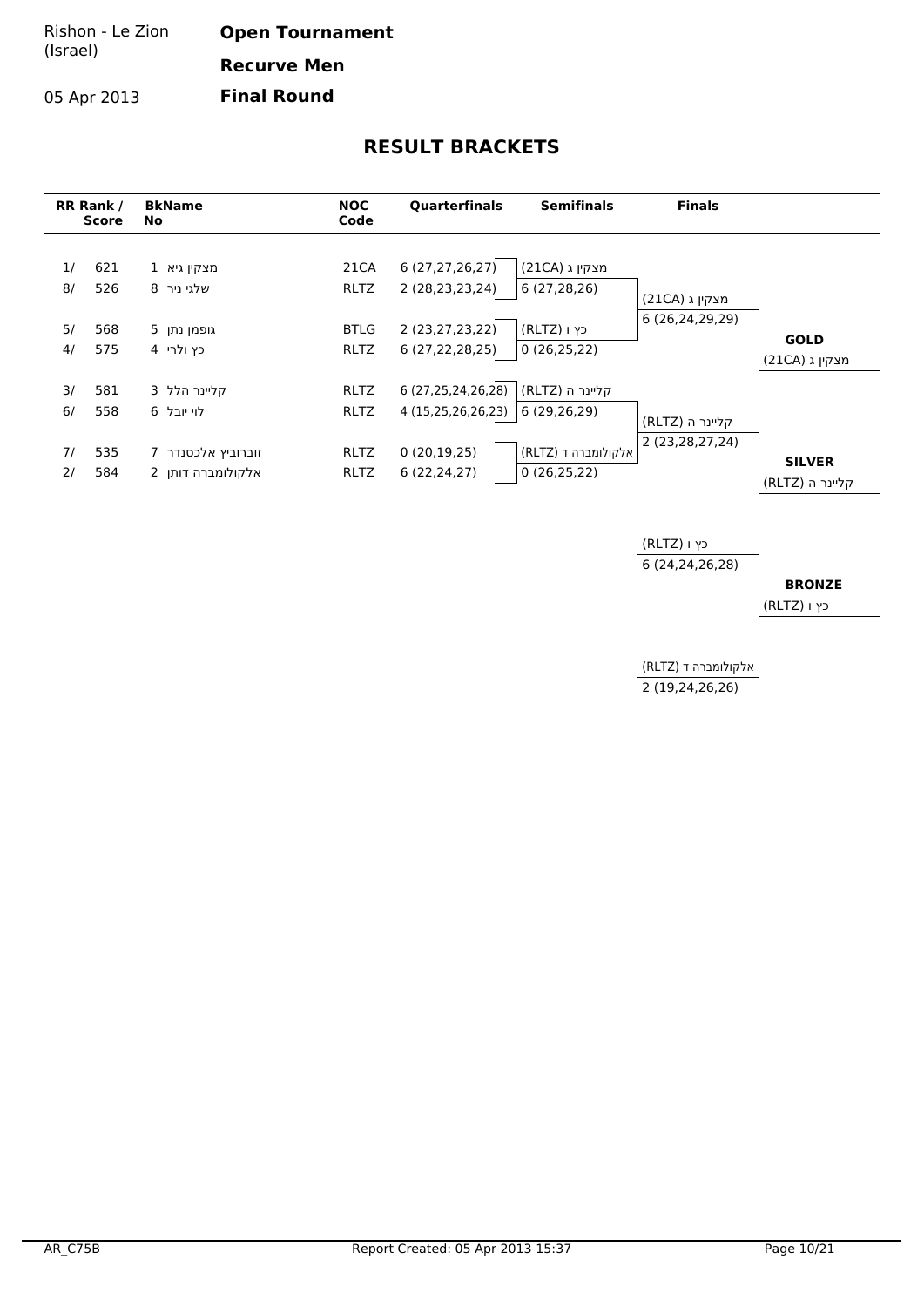**Open Tournament Recurve Men**

**Final Round**

05 Apr 2013



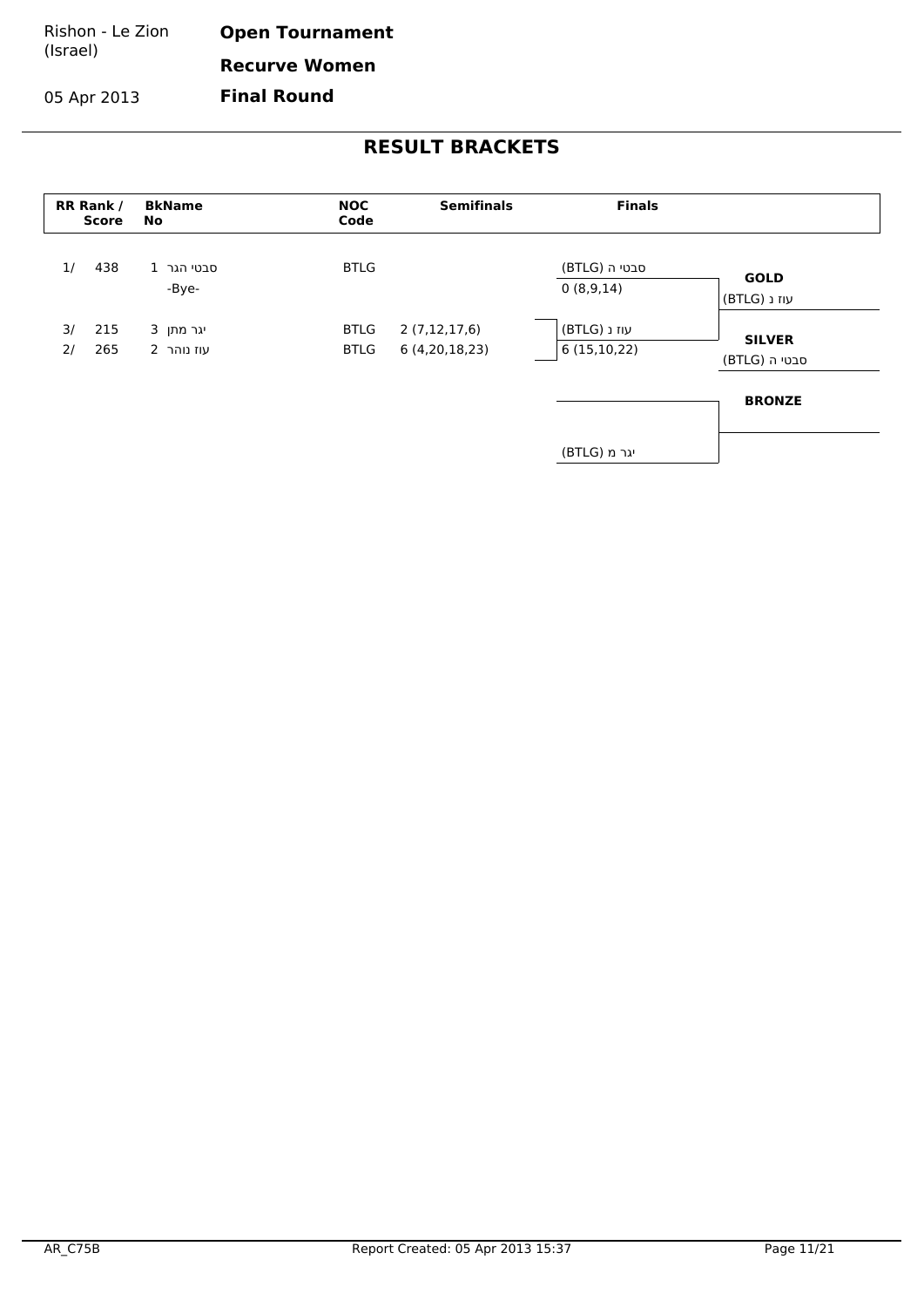Rishon - Le Zion (Israel) **Open Tournament Recurve Women**

05 Apr 2013

**Final Round**

| RR Rank /<br><b>Score</b> | <b>BkName</b><br>No     | <b>NOC</b><br>Code         | <b>Semifinals</b>             | <b>Finals</b>               |                                |
|---------------------------|-------------------------|----------------------------|-------------------------------|-----------------------------|--------------------------------|
| 1/<br>438                 | 1 סבטי הגר<br>-Bye-     | <b>BTLG</b>                |                               | סבטי ה (BTLG)<br>0(8,9,14)  | <b>GOLD</b><br>עוז נ (BTLG)    |
| 215<br>3/<br>265<br>2/    | יגר מתן 3<br>עוז נוהר 2 | <b>BTLG</b><br><b>BTLG</b> | 2(7,12,17,6)<br>6(4,20,18,23) | עוז נ (BTLG)<br>6(15,10,22) | <b>SILVER</b><br>סבטי ה (BTLG) |
|                           |                         |                            |                               |                             | <b>BRONZE</b>                  |
|                           |                         |                            |                               | יגר מ (BTLG)                |                                |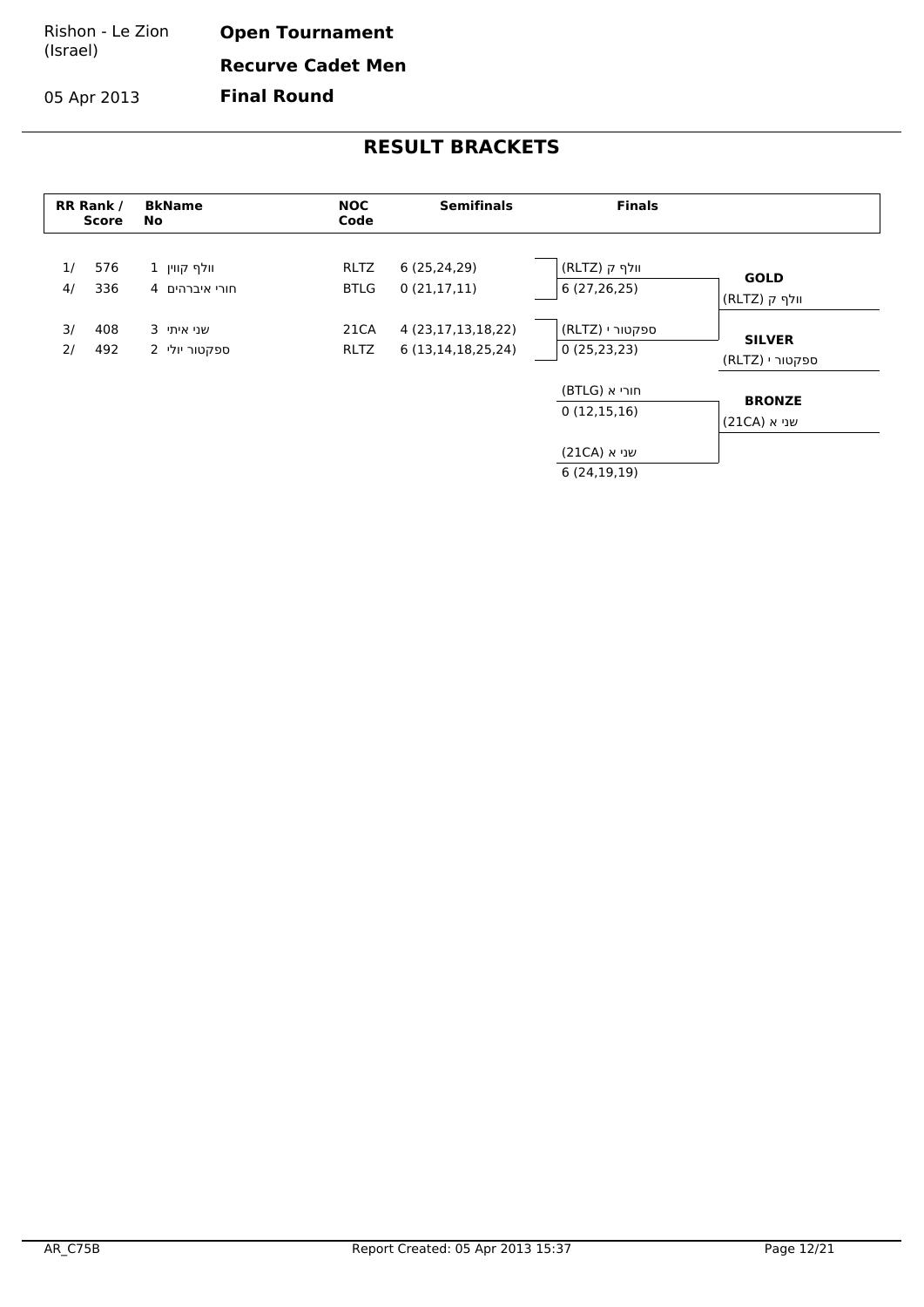Rishon - Le Zion (Israel) **Open Tournament Recurve Cadet Men**

**Final Round**

05 Apr 2013

|          | RR Rank /<br><b>Score</b> | <b>BkName</b><br>No            | <b>NOC</b><br>Code         | <b>Semifinals</b>                            | <b>Finals</b>                    |                                  |
|----------|---------------------------|--------------------------------|----------------------------|----------------------------------------------|----------------------------------|----------------------------------|
| 1/<br>4/ | 576<br>336                | 1 וולף קווין<br>חורי איברהים 4 | <b>RLTZ</b><br><b>BTLG</b> | 6(25, 24, 29)<br>0(21,17,11)                 | וולף ק (RLTZ)<br>6(27, 26, 25)   | <b>GOLD</b><br>וולף ק (RLTZ)     |
| 3/<br>2/ | 408<br>492                | 3 שני איתי<br>0פקטור יולי 2    | 21CA<br><b>RLTZ</b>        | 4 (23, 17, 13, 18, 22)<br>6 (13,14,18,25,24) | ספקטור י (RLTZ)<br>0(25, 23, 23) | <b>SILVER</b><br>ספקטור י (RLTZ) |
|          |                           |                                |                            |                                              | חורי א (BTLG)<br>0(12,15,16)     | <b>BRONZE</b><br>שני א (21CA)    |
|          |                           |                                |                            |                                              | שני א (21CA)<br>6(24, 19, 19)    |                                  |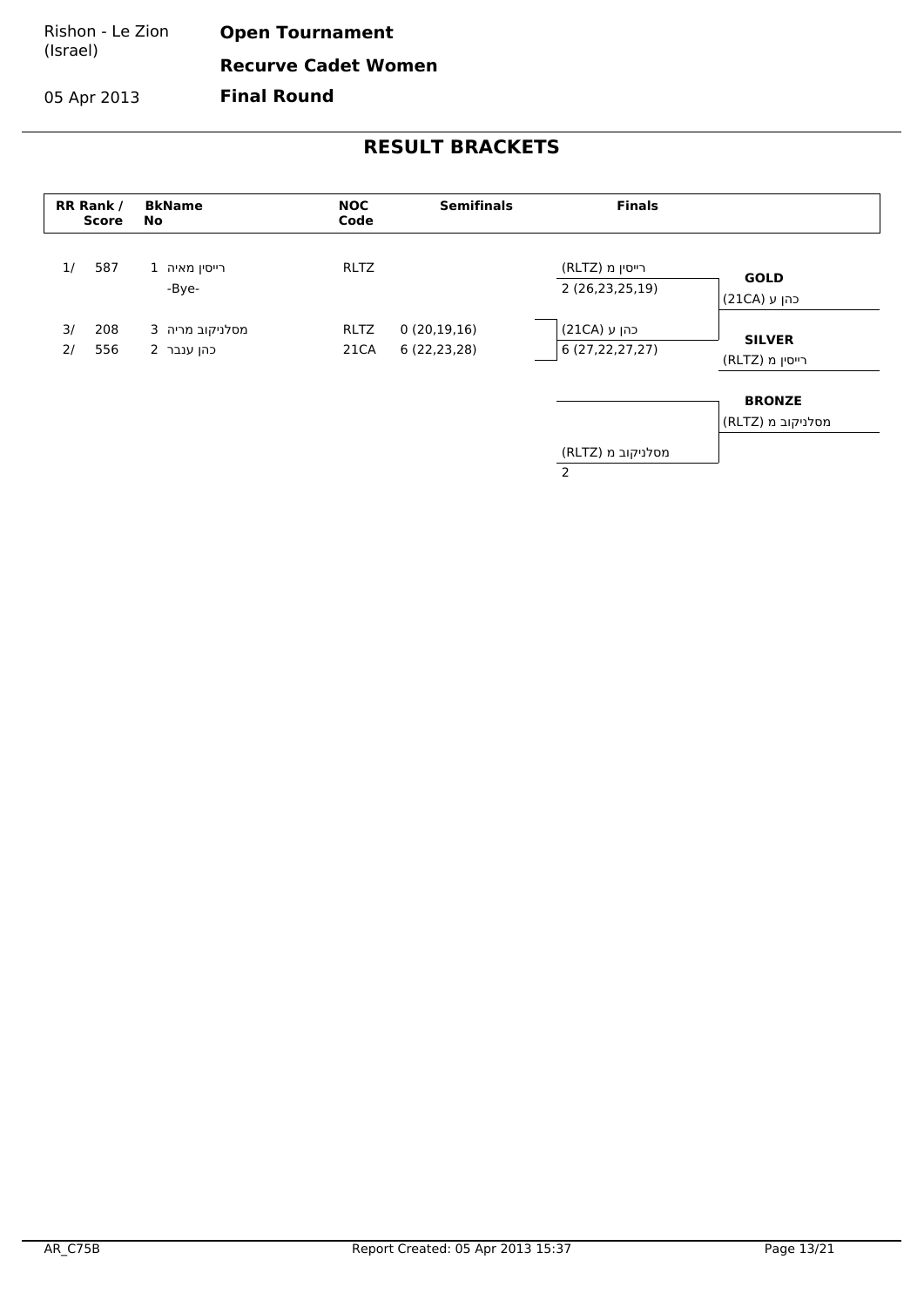Rishon - Le Zion (Israel) **Open Tournament Recurve Cadet Women Final Round**

05 Apr 2013

| RR Rank /<br><b>Score</b> | <b>BkName</b><br>No           | <b>NOC</b><br>Code  | <b>Semifinals</b>           | <b>Finals</b>                       |                                    |
|---------------------------|-------------------------------|---------------------|-----------------------------|-------------------------------------|------------------------------------|
| 1/<br>587                 | 1 רייסין מאיה<br>-Bye-        | <b>RLTZ</b>         |                             | רייסין מ (RLTZ)<br>2 (26,23,25,19)  | <b>GOLD</b><br>כהן ע (21CA)        |
| 3/<br>208<br>556<br>2/    | מסלניקוב מריה 3<br>כהן ענבר 2 | <b>RLTZ</b><br>21CA | 0(20,19,16)<br>6 (22,23,28) | כהן ע (21CA)<br>6(27, 22, 27, 27)   | <b>SILVER</b><br>רייסין מ (RLTZ)   |
|                           |                               |                     |                             |                                     | <b>BRONZE</b><br>מסלניקוב מ (RLTZ) |
|                           |                               |                     |                             | מסלניקוב מ (RLTZ)<br>$\overline{2}$ |                                    |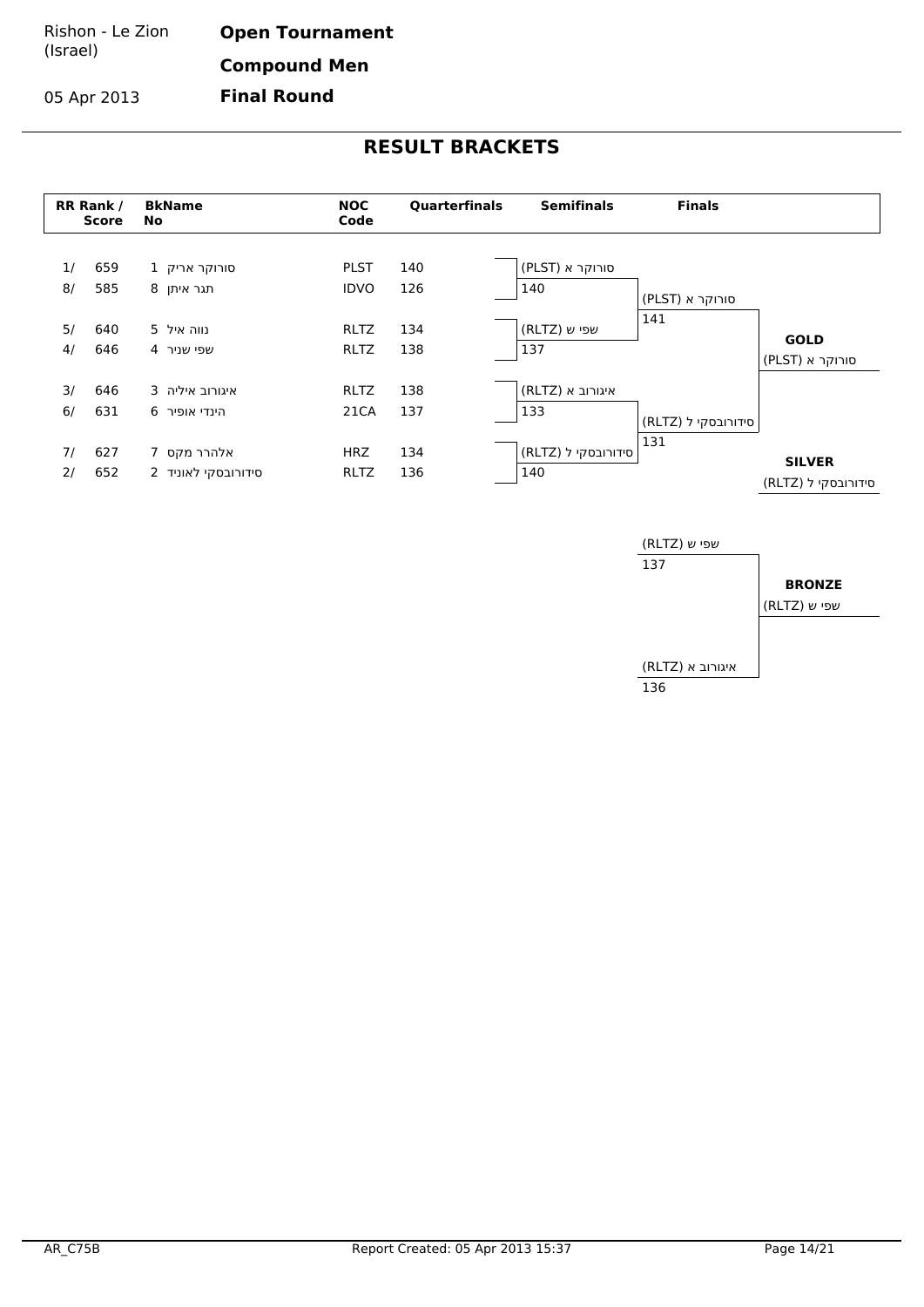05 Apr 2013

**Open Tournament Compound Men Final Round**



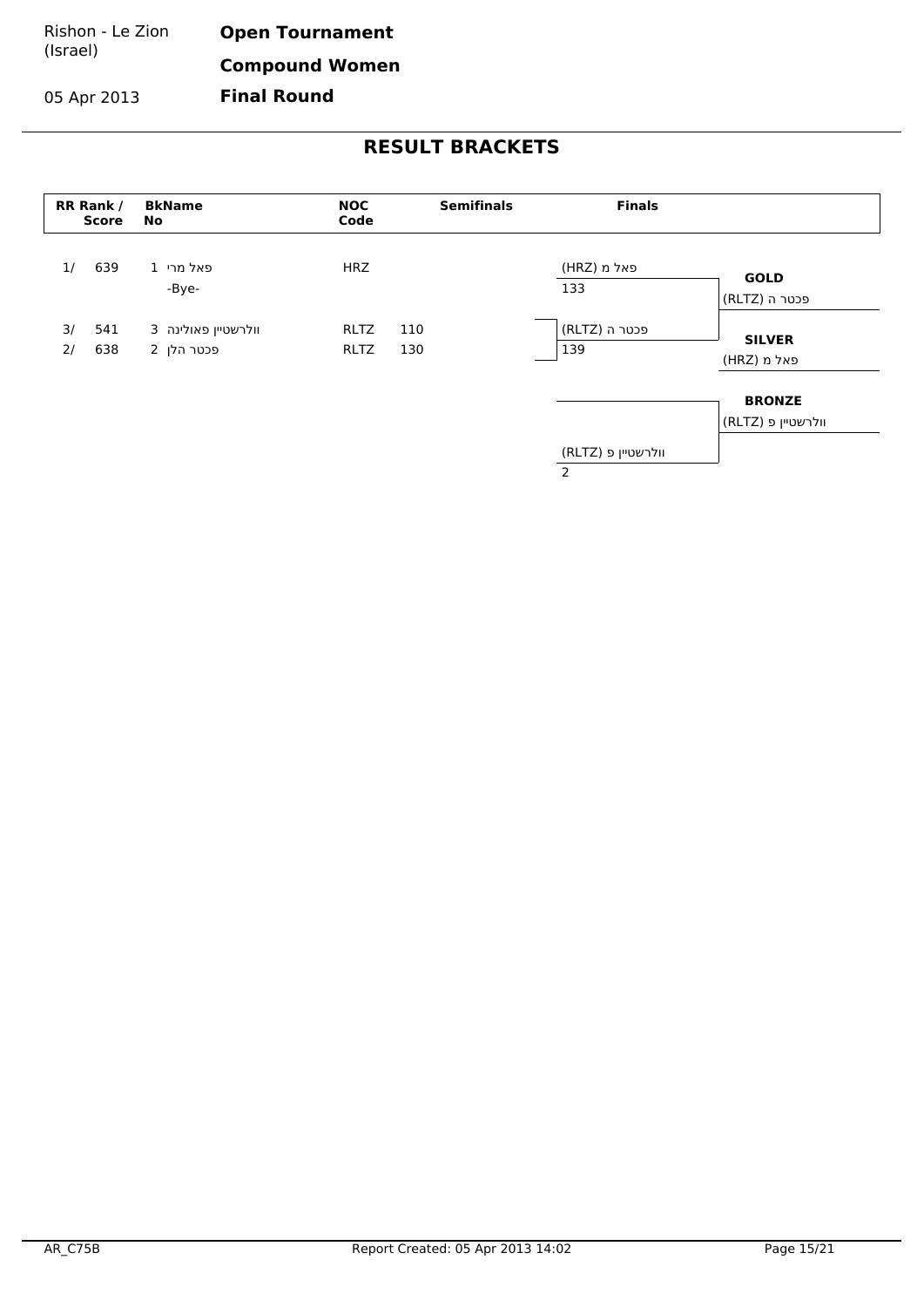Rishon - Le Zion (Israel) **Open Tournament Compound Women**

05 Apr 2013

**Final Round**

| RR Rank / | <b>Score</b> | <b>BkName</b><br>No               | <b>NOC</b><br>Code         | <b>Semifinals</b> | <b>Finals</b>                        |                                     |
|-----------|--------------|-----------------------------------|----------------------------|-------------------|--------------------------------------|-------------------------------------|
| 1/        | 639          | פאל מרי 1<br>-Bye-                | <b>HRZ</b>                 |                   | פאל מ (HRZ)<br>133                   | <b>GOLD</b><br>פכטר ה (RLTZ)        |
| 3/<br>2/  | 541<br>638   | 3 וולרשטיין פאולינה<br>פכטר הלן 2 | <b>RLTZ</b><br><b>RLTZ</b> | 110<br>130        | פכטר ה (RLTZ)<br>139                 | <b>SILVER</b><br>פאל מ (HRZ)        |
|           |              |                                   |                            |                   |                                      | <b>BRONZE</b><br>וולרשטיין פ (RLTZ) |
|           |              |                                   |                            |                   | וולרשטיין פ (RLTZ)<br>$\overline{2}$ |                                     |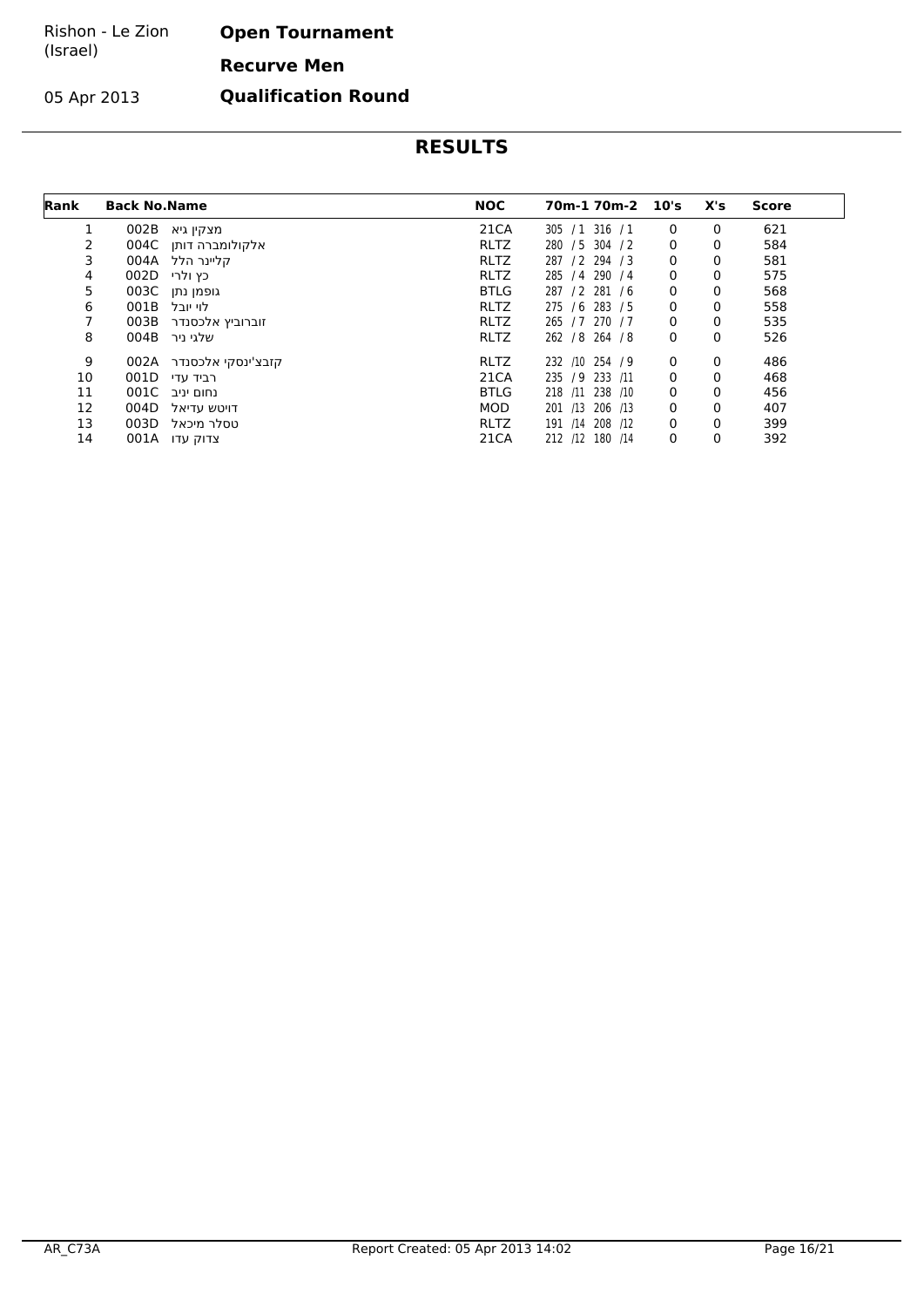#### Rishon - Le Zion (Israel) **Open Tournament Recurve Men**

05 Apr 2013

**Qualification Round**

| Rank | <b>Back No.Name</b> |                    | <b>NOC</b>  | 70m-1 70m-2 10's   |   | X's | Score |
|------|---------------------|--------------------|-------------|--------------------|---|-----|-------|
|      | 002B                | מצקין גיא          | 21CA        | 316 / 1<br>305 / 1 | 0 | 0   | 621   |
| 2    | 004C                | אלקולומברה דותן    | <b>RLTZ</b> | 280 / 5 304 / 2    | 0 | 0   | 584   |
| 3    |                     | קליינר הלל 004A    | <b>RLTZ</b> | 287 / 2 294 / 3    | 0 | 0   | 581   |
| 4    | 002D                | כץ ולרי            | <b>RLTZ</b> | 285 / 4 290 / 4    | 0 | 0   | 575   |
| 5    | 003C                | גופמן נתן          | <b>BTLG</b> | 287 / 2 281 / 6    | 0 | 0   | 568   |
| 6    | 001B                | לוי יובל           | <b>RLTZ</b> | 275 / 6 283 / 5    | 0 | 0   | 558   |
| 7    | 003B                | זוברוביץ אלכסנדר   | <b>RLTZ</b> | 265 / 7 270 / 7    | 0 | 0   | 535   |
| 8    | 004B                | שלגי ניר           | <b>RLTZ</b> | 262 / 8 264 / 8    | 0 | 0   | 526   |
| 9    | 002A                | קזבצ'ינסקי אלכסנדר | <b>RLTZ</b> | 232 /10 254 / 9    | 0 | 0   | 486   |
| 10   | 001D                | רביד עדי           | 21CA        | 235 / 9 233<br>/11 | 0 | 0   | 468   |
| 11   |                     | נחום יניב 001C     | <b>BTLG</b> | 218 /11 238 /10    | 0 | 0   | 456   |
| 12   | 004D                | דויטש עדיאל        | <b>MOD</b>  | 201 /13 206 /13    | 0 | 0   | 407   |
| 13   | 003D                | טסלר מיכאל         | <b>RLTZ</b> | 191 /14 208 /12    | 0 | 0   | 399   |
| 14   |                     | 001A צדוק עדו      | 21CA        | 212 /12 180 /14    | 0 | 0   | 392   |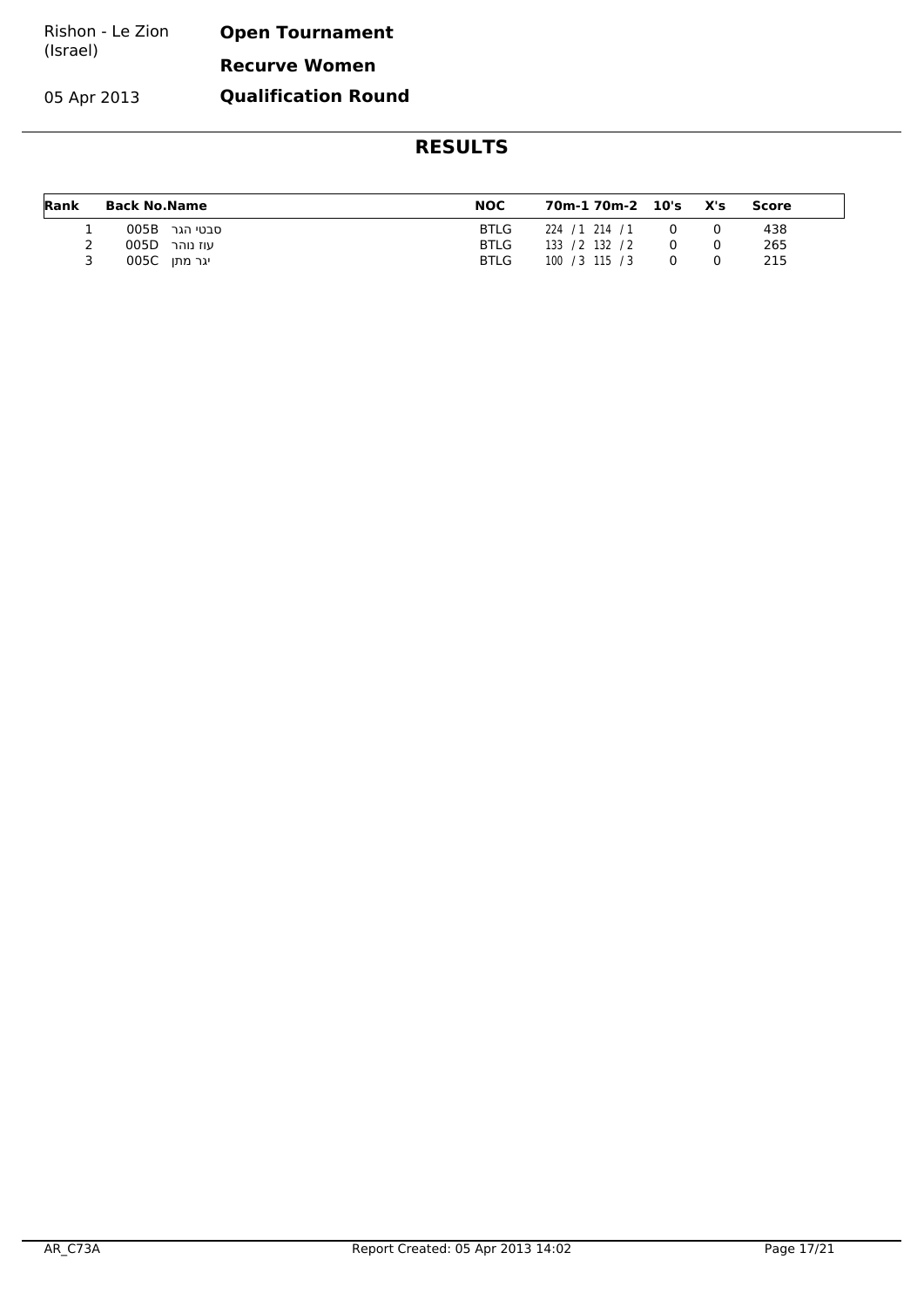| Rishon - Le Zion | <b>Open Tournament</b> |
|------------------|------------------------|
| (Israel)         | <b>Recurve Women</b>   |

05 Apr 2013

**Qualification Round**

| Rank | Back No.Name |               | <b>NOC</b>  | 70m-1 70m-2 10's X's |  | Score |  |
|------|--------------|---------------|-------------|----------------------|--|-------|--|
|      |              | 005B סבטי הגר | <b>BTLG</b> | 224 / 1 214 / 1      |  | 438   |  |
| 2    |              | עוז נוהר 005D | <b>BTLG</b> | 133 / 2 132 / 2      |  | 265   |  |
|      |              | יגר מתן 005C  | <b>BTLG</b> | 100 / 3 115 / 3      |  | 215   |  |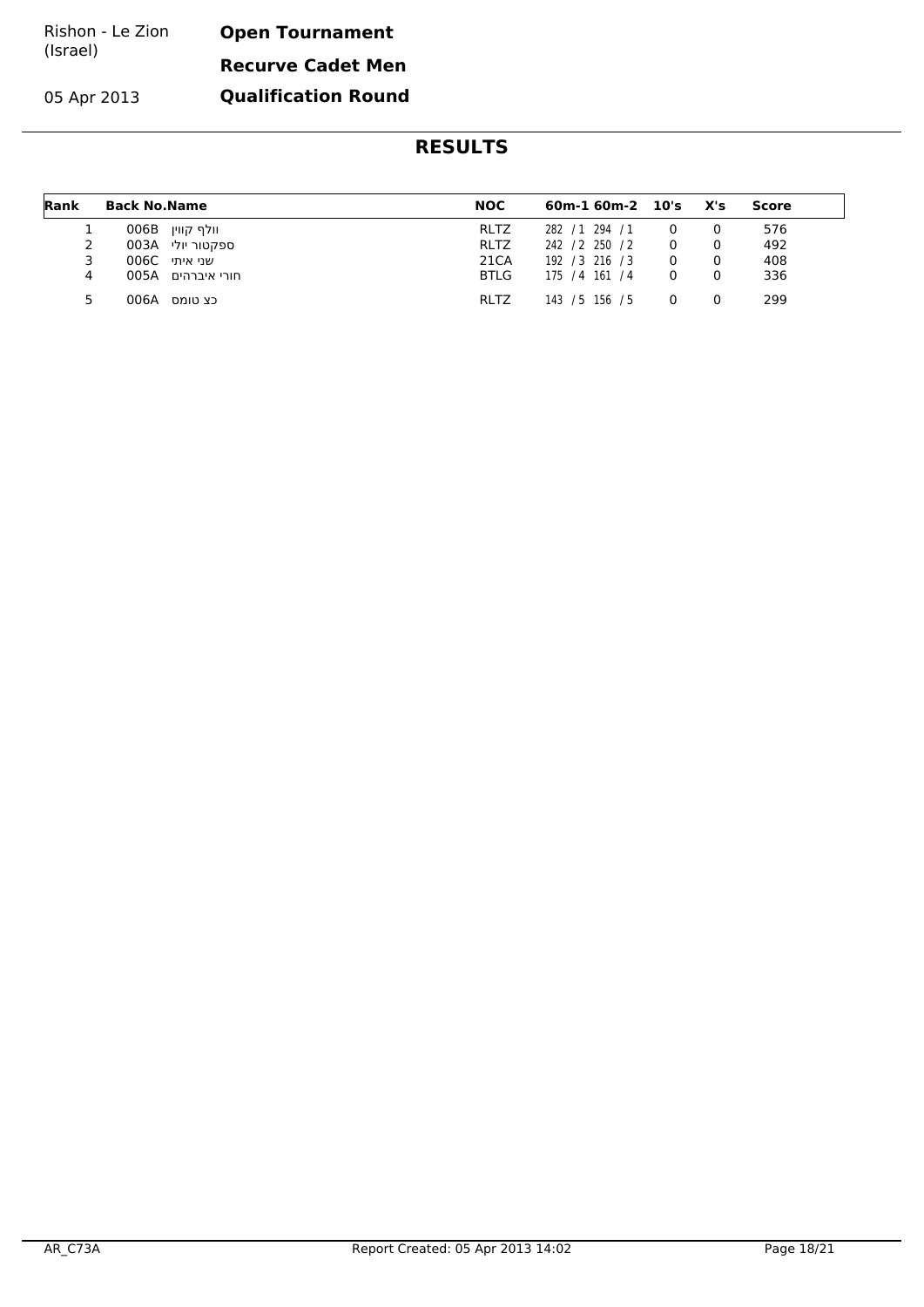| Rishon - Le Zion | <b>Open Tournament</b>   |  |  |  |
|------------------|--------------------------|--|--|--|
| (Israel)         | <b>Recurve Cadet Men</b> |  |  |  |

**Qualification Round**

05 Apr 2013

| Rank | <b>Back No.Name</b> | <b>NOC</b>  | $60m-160m-2$ $10's$ X's |   | Score |  |
|------|---------------------|-------------|-------------------------|---|-------|--|
|      | 006B וולף קווין     | <b>RLTZ</b> | 282 / 1 294 / 1         | 0 | 576   |  |
|      | 003A ספקטור יולי    | <b>RLTZ</b> | 242 / 2 250 / 2         |   | 492   |  |
| 3    | 006C שני איתי       | 21CA        | 192 / 3 216 / 3         |   | 408   |  |
| 4    | חורי איברהים 005A   | <b>BTLG</b> | 175 / 4 161 / 4         |   | 336   |  |
| 5.   | 006A<br>כצ טומס     | <b>RLTZ</b> | 143 / 5 156 / 5         | 0 | 299   |  |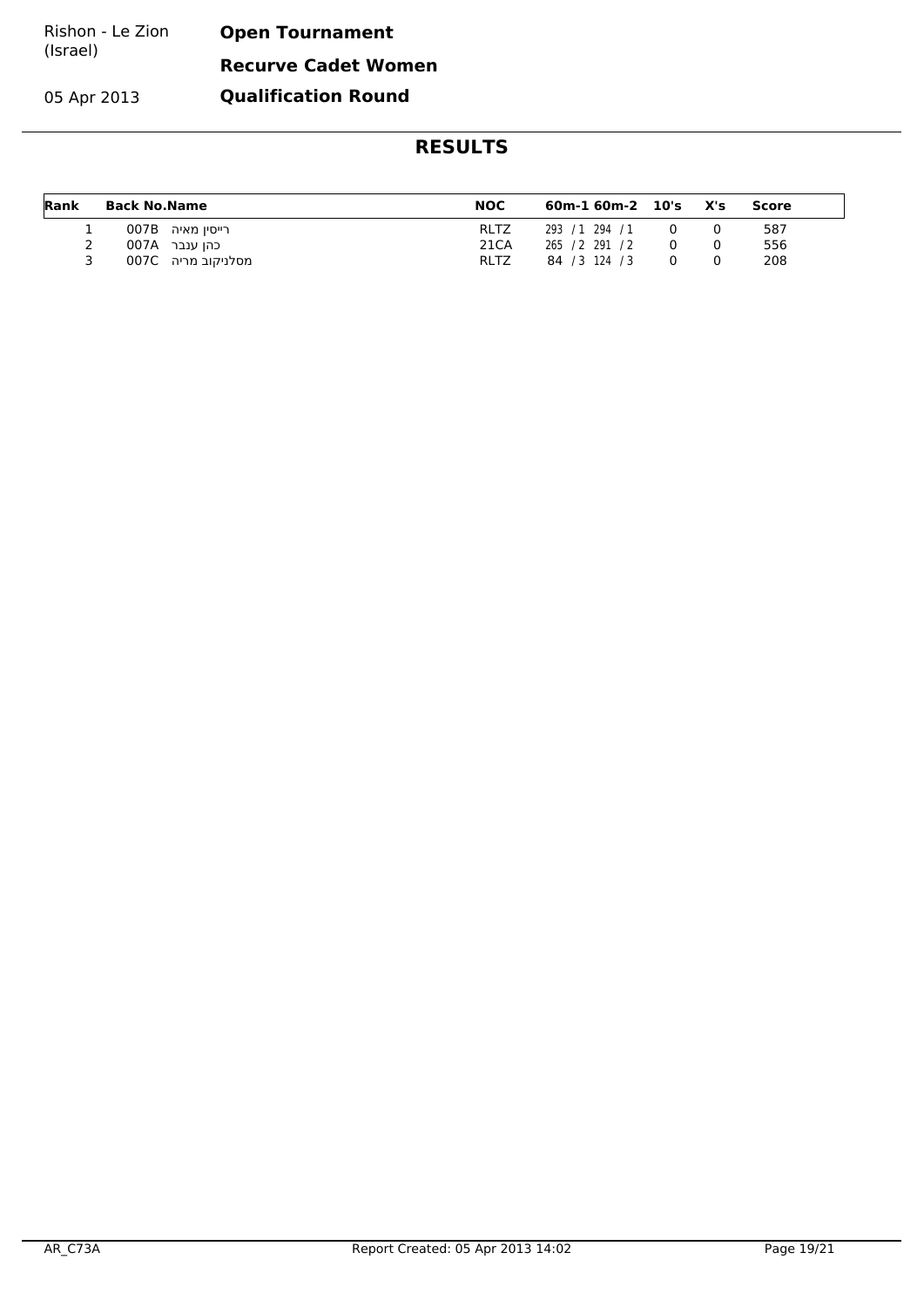| Rishon - Le Zion | <b>Open Tournament</b>     |
|------------------|----------------------------|
| (Israel)         | <b>Recurve Cadet Women</b> |

**Qualification Round**

05 Apr 2013

| Rank | <b>Back No.Name</b> | <b>NOC</b>  | 60m-1 60m-2 10's X's |  | Score |
|------|---------------------|-------------|----------------------|--|-------|
| ÷.   | 007B רייסין מאיה    | <b>RLTZ</b> | 293 / 1 294 / 1      |  | 587   |
|      | כהו ענבר  007A      | 21CA        | 265 / 2 291 / 2      |  | 556   |
|      | מסלניקוב מריה 007C  | <b>RLTZ</b> | 84 / 3 124 / 3       |  | 208   |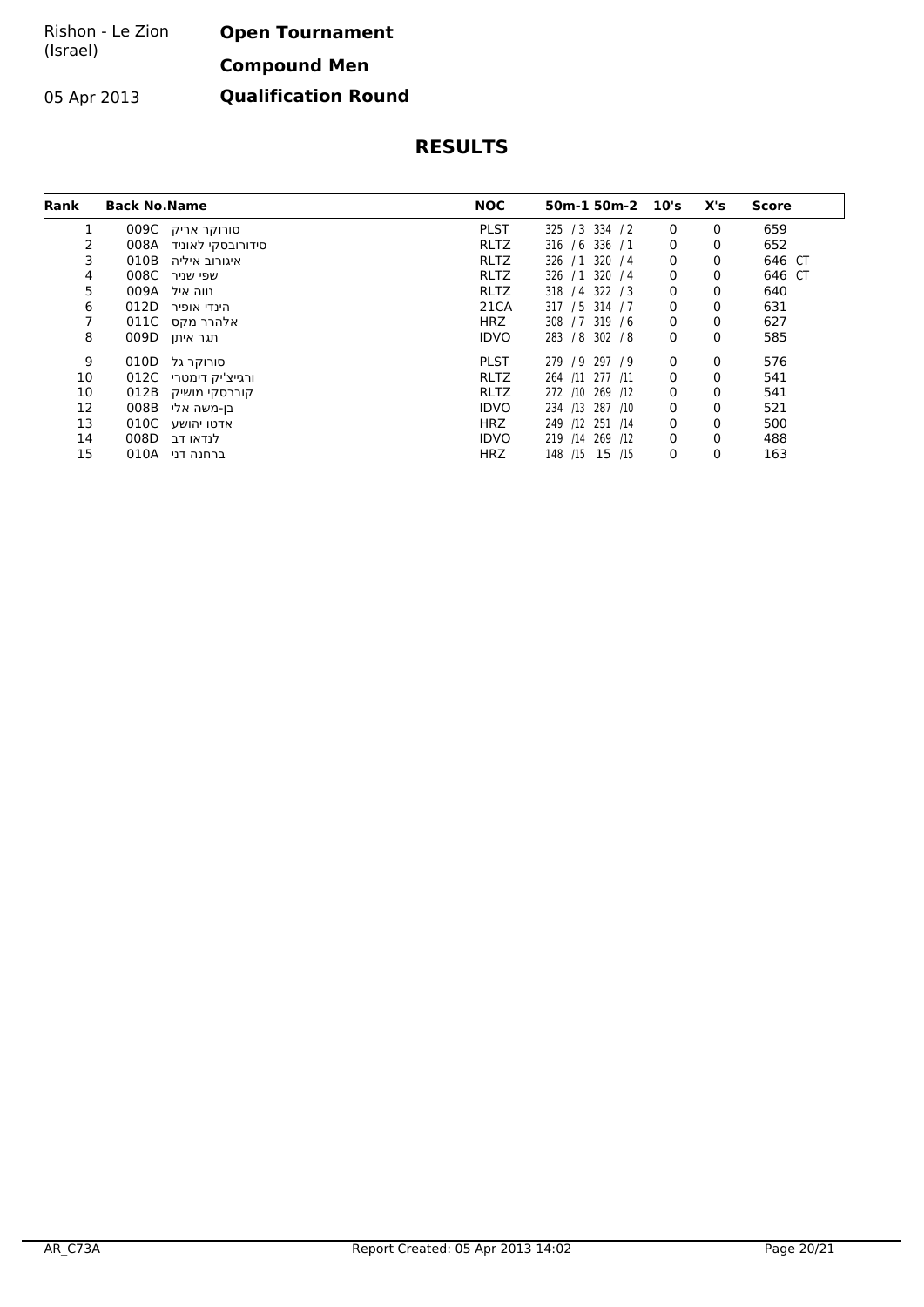#### Rishon - Le Zion (Israel) **Open Tournament**

05 Apr 2013

**Compound Men**

**Qualification Round**

| Rank | <b>Back No. Name</b> |                               | <b>NOC</b>  | 50m-1 50m-2 10's        |             | X's | Score  |
|------|----------------------|-------------------------------|-------------|-------------------------|-------------|-----|--------|
| 1    |                      | 009C סורוקר אריק              | <b>PLST</b> | 325 / 3 334 / 2         | 0           | 0   | 659    |
| 2    | 008A                 | סידורובסקי לאוניד             | <b>RLTZ</b> | 316 / 6 336 / 1         | 0           | 0   | 652    |
| 3    | 010B                 | איגורוב איליה                 | <b>RLTZ</b> | 326 / 1 320 / 4         | 0           | 0   | 646 CT |
| 4    | 008C                 | שפי שניר                      | <b>RLTZ</b> | 326 / 1 320 / 4         | 0           | 0   | 646 CT |
| 5    | 009A                 | נווה איל                      | <b>RLTZ</b> | 318 / 4 322 / 3         | 0           | 0   | 640    |
| 6    | 012D                 | הינדי אופיר                   | 21CA        | 317 / 5 314 / 7         | $\mathbf 0$ | 0   | 631    |
| 7    | 011C                 | אלהרר מקס                     | <b>HRZ</b>  | 308 / 7 319 / 6         | $\mathbf 0$ | 0   | 627    |
| 8    | 009D                 | תגר איתן                      | <b>IDVO</b> | 283 / 8 302 / 8         | 0           | 0   | 585    |
| 9    | 010D                 | סורוקר גל                     | <b>PLST</b> | 279 / 9<br>297 / 9      | 0           | 0   | 576    |
| 10   | 012C                 | ורגייצ <sup>י</sup> יק דימטרי | <b>RLTZ</b> | 264 /11 277 /11         | 0           | 0   | 541    |
| 10   | 012B                 | קוברסקי מושיק                 | <b>RLTZ</b> | 272 /10 269 /12         | 0           | 0   | 541    |
| 12   | 008B                 | בן-משה אלי                    | <b>IDVO</b> | 287 /10<br>234 /13      | 0           | 0   | 521    |
| 13   | 010C                 | אדטו יהושע                    | <b>HRZ</b>  | 249 /12 251 /14         | 0           | 0   | 500    |
| 14   | 008D                 | לנדאו דב                      | <b>IDVO</b> | $/14$ 269<br>219<br>/12 | 0           | 0   | 488    |
| 15   | 010A                 | ברחנה דני                     | <b>HRZ</b>  | 148 /15 15 /15          | 0           | 0   | 163    |